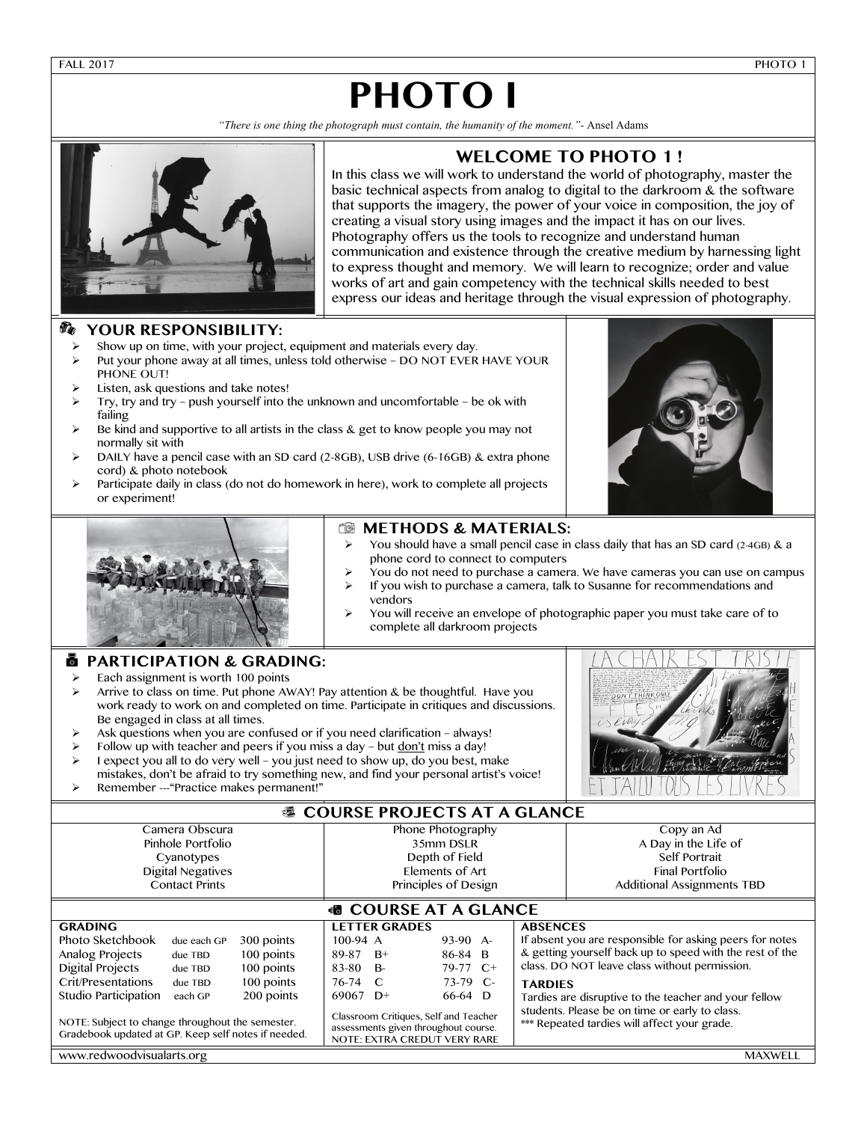FALL 2017 PHOTO 1

# **PHOTO I**

*"There is one thing the photograph must contain, the humanity of the moment."-* Ansel Adams



## **WELCOME TO PHOTO 1 !**

In this class we will work to understand the world of photography, master the basic technical aspects from analog to digital to the darkroom & the software that supports the imagery, the power of your voice in composition, the joy of creating a visual story using images and the impact it has on our lives. Photography offers us the tools to recognize and understand human communication and existence through the creative medium by harnessing light to express thought and memory. We will learn to recognize; order and value works of art and gain competency with the technical skills needed to best express our ideas and heritage through the visual expression of photography.

#### L **YOUR RESPONSIBILITY:**

- Show up on time, with your project, equipment and materials every day.
- $\triangleright$  Put your phone away at all times, unless told otherwise DO NOT EVER HAVE YOUR PHONE OUT!
- Listen, ask questions and take notes!
- Ø Try, try and try push yourself into the unknown and uncomfortable be ok with failing
- Be kind and supportive to all artists in the class  $&$  get to know people you may not normally sit with
- DAILY have a pencil case with an SD card  $(2-8GB)$ , USB drive  $(6-16GB)$  & extra phone cord) & photo notebook
- Participate daily in class (do not do homework in here), work to complete all projects or experiment!





#### **6** METHODS & MATERIALS:

- You should have a small pencil case in class daily that has an SD card (2-4GB) & a phone cord to connect to computers
- Ø You do not need to purchase a camera. We have cameras you can use on campus
- If you wish to purchase a camera, talk to Susanne for recommendations and vendors
- You will receive an envelope of photographic paper you must take care of to complete all darkroom projects

### • 0 **PARTICIPATION & GRADING:**

- $\triangleright$  Each assignment is worth 100 points
- $\triangleright$  Arrive to class on time. Put phone AWAY! Pay attention & be thoughtful. Have you work ready to work on and completed on time. Participate in critiques and discussions. Be engaged in class at all times.
- Ask questions when you are confused or if you need clarification always!
- Follow up with teacher and peers if you miss a day but don't miss a day!
- $\triangleright$  I expect you all to do very well you just need to show up, do you best, make mistakes, don't be afraid to try something new, and find your personal artist's voice!
- Ø Remember ---"Practice makes permanent!"



### **& COURSE PROJECTS AT A GLANCE**

| Camera Obscura<br>Pinhole Portfolio<br>Cyanotypes<br><b>Digital Negatives</b><br><b>Contact Prints</b>                                                                                                                                    |                                                         |                                                                    |                                                        | Phone Photography<br>35mm DSLR<br>Depth of Field<br>Flements of Art<br>Principles of Design |                                                                                                                                                                               |  |                                   | Copy an Ad<br>A Day in the Life of<br>Self Portrait<br><b>Final Portfolio</b><br><b>Additional Assignments TBD</b>                                                                                                                                                                                                               |  |  |  |  |
|-------------------------------------------------------------------------------------------------------------------------------------------------------------------------------------------------------------------------------------------|---------------------------------------------------------|--------------------------------------------------------------------|--------------------------------------------------------|---------------------------------------------------------------------------------------------|-------------------------------------------------------------------------------------------------------------------------------------------------------------------------------|--|-----------------------------------|----------------------------------------------------------------------------------------------------------------------------------------------------------------------------------------------------------------------------------------------------------------------------------------------------------------------------------|--|--|--|--|
| <b>68 COURSE AT A GLANCE</b>                                                                                                                                                                                                              |                                                         |                                                                    |                                                        |                                                                                             |                                                                                                                                                                               |  |                                   |                                                                                                                                                                                                                                                                                                                                  |  |  |  |  |
| <b>GRADING</b><br>Photo Sketchbook<br>Analog Projects<br><b>Digital Projects</b><br>Crit/Presentations<br>Studio Participation<br>NOTE: Subject to change throughout the semester.<br>Gradebook updated at GP. Keep self notes if needed. | due each GP<br>due TBD<br>due TBD<br>due TBD<br>each GP | 300 points<br>100 points<br>100 points<br>100 points<br>200 points | $100-94$ A<br>89-87<br>83-80<br>76-74 C<br>69067 $D^+$ | <b>LETTER GRADES</b><br>$B+$<br><b>B-</b>                                                   | $93-90$ A-<br>86-84 B<br>$79-77$ C+<br>$73-79$ C-<br>66-64 D<br>Classroom Critiques, Self and Teacher<br>assessments given throughout course.<br>NOTE: EXTRA CREDUT VERY RARE |  | <b>ABSENCES</b><br><b>TARDIES</b> | If absent you are responsible for asking peers for notes<br>& getting yourself back up to speed with the rest of the<br>class. DO NOT leave class without permission.<br>Tardies are disruptive to the teacher and your fellow<br>students. Please be on time or early to class.<br>*** Repeated tardies will affect your grade. |  |  |  |  |
| www.redwoodvisualarts.org                                                                                                                                                                                                                 |                                                         |                                                                    |                                                        |                                                                                             |                                                                                                                                                                               |  |                                   | <b>MAXWELL</b>                                                                                                                                                                                                                                                                                                                   |  |  |  |  |